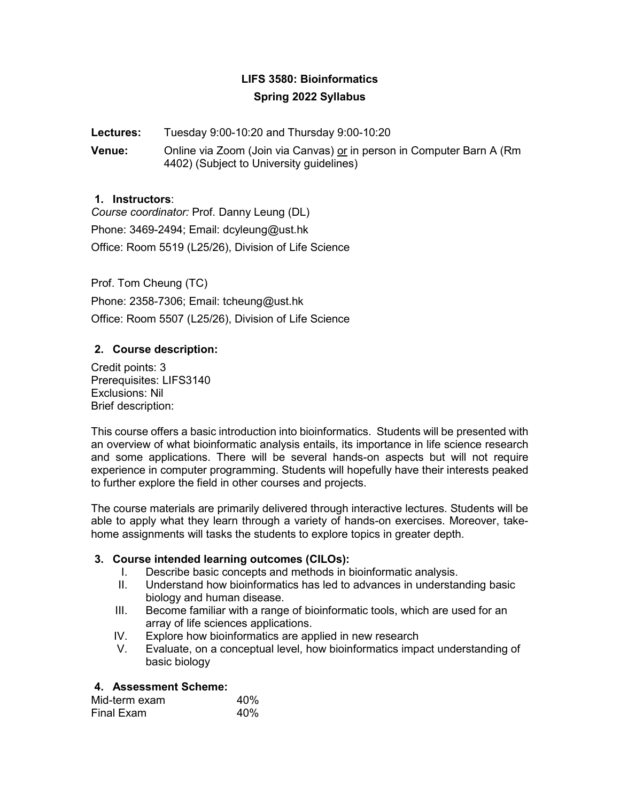# **LIFS 3580: Bioinformatics Spring 2022 Syllabus**

## **Lectures:** Tuesday 9:00-10:20 and Thursday 9:00-10:20

**Venue:** Online via Zoom (Join via Canvas) or in person in Computer Barn A (Rm 4402) (Subject to University guidelines)

#### **1. Instructors**:

*Course coordinator:* Prof. Danny Leung (DL) Phone: 3469-2494; Email: dcyleung@ust.hk Office: Room 5519 (L25/26), Division of Life Science

Prof. Tom Cheung (TC) Phone: 2358-7306; Email: tcheung@ust.hk Office: Room 5507 (L25/26), Division of Life Science

## **2. Course description:**

Credit points: 3 Prerequisites: LIFS3140 Exclusions: Nil Brief description:

This course offers a basic introduction into bioinformatics. Students will be presented with an overview of what bioinformatic analysis entails, its importance in life science research and some applications. There will be several hands-on aspects but will not require experience in computer programming. Students will hopefully have their interests peaked to further explore the field in other courses and projects.

The course materials are primarily delivered through interactive lectures. Students will be able to apply what they learn through a variety of hands-on exercises. Moreover, takehome assignments will tasks the students to explore topics in greater depth.

#### **3. Course intended learning outcomes (CILOs):**

- I. Describe basic concepts and methods in bioinformatic analysis.
- II. Understand how bioinformatics has led to advances in understanding basic biology and human disease.
- III. Become familiar with a range of bioinformatic tools, which are used for an array of life sciences applications.
- IV. Explore how bioinformatics are applied in new research
- V. Evaluate, on a conceptual level, how bioinformatics impact understanding of basic biology

## **4. Assessment Scheme:**

| Mid-term exam | 40% |
|---------------|-----|
| Final Exam    | 40% |